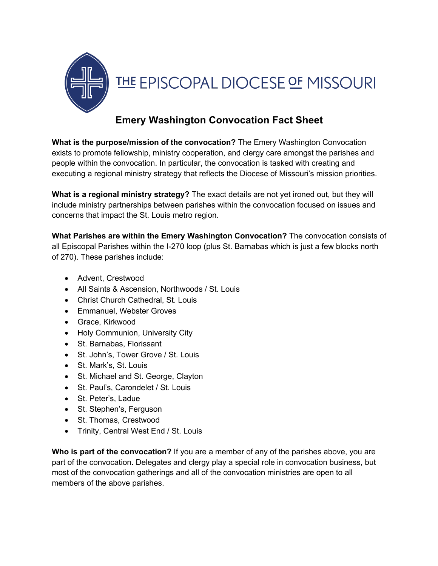

THE EPISCOPAL DIOCESE OF MISSOURI

## **Emery Washington Convocation Fact Sheet**

**What is the purpose/mission of the convocation?** The Emery Washington Convocation exists to promote fellowship, ministry cooperation, and clergy care amongst the parishes and people within the convocation. In particular, the convocation is tasked with creating and executing a regional ministry strategy that reflects the Diocese of Missouri's mission priorities.

**What is a regional ministry strategy?** The exact details are not yet ironed out, but they will include ministry partnerships between parishes within the convocation focused on issues and concerns that impact the St. Louis metro region.

**What Parishes are within the Emery Washington Convocation?** The convocation consists of all Episcopal Parishes within the I-270 loop (plus St. Barnabas which is just a few blocks north of 270). These parishes include:

- Advent, Crestwood
- All Saints & Ascension, Northwoods / St. Louis
- Christ Church Cathedral, St. Louis
- Emmanuel, Webster Groves
- Grace, Kirkwood
- Holy Communion, University City
- St. Barnabas, Florissant
- St. John's, Tower Grove / St. Louis
- St. Mark's, St. Louis
- St. Michael and St. George, Clayton
- St. Paul's, Carondelet / St. Louis
- St. Peter's, Ladue
- St. Stephen's, Ferguson
- St. Thomas, Crestwood
- Trinity, Central West End / St. Louis

**Who is part of the convocation?** If you are a member of any of the parishes above, you are part of the convocation. Delegates and clergy play a special role in convocation business, but most of the convocation gatherings and all of the convocation ministries are open to all members of the above parishes.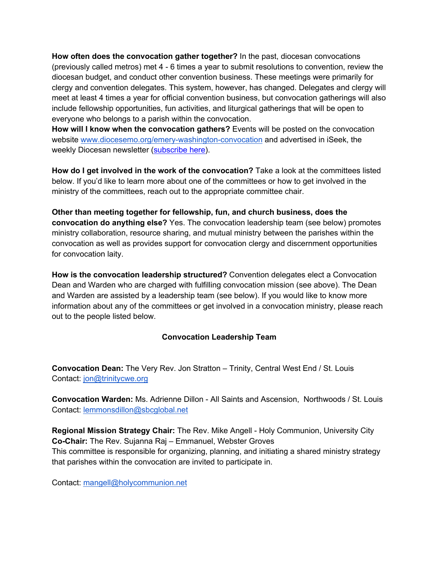**How often does the convocation gather together?** In the past, diocesan convocations (previously called metros) met 4 - 6 times a year to submit resolutions to convention, review the diocesan budget, and conduct other convention business. These meetings were primarily for clergy and convention delegates. This system, however, has changed. Delegates and clergy will meet at least 4 times a year for official convention business, but convocation gatherings will also include fellowship opportunities, fun activities, and liturgical gatherings that will be open to everyone who belongs to a parish within the convocation.

**How will I know when the convocation gathers?** Events will be posted on the convocation website www.diocesemo.org/emery-washington-convocation and advertised in iSeek, the weekly Diocesan newsletter (subscribe here).

**How do I get involved in the work of the convocation?** Take a look at the committees listed below. If you'd like to learn more about one of the committees or how to get involved in the ministry of the committees, reach out to the appropriate committee chair.

**Other than meeting together for fellowship, fun, and church business, does the convocation do anything else?** Yes. The convocation leadership team (see below) promotes ministry collaboration, resource sharing, and mutual ministry between the parishes within the convocation as well as provides support for convocation clergy and discernment opportunities for convocation laity.

**How is the convocation leadership structured?** Convention delegates elect a Convocation Dean and Warden who are charged with fulfilling convocation mission (see above). The Dean and Warden are assisted by a leadership team (see below). If you would like to know more information about any of the committees or get involved in a convocation ministry, please reach out to the people listed below.

## **Convocation Leadership Team**

**Convocation Dean:** The Very Rev. Jon Stratton – Trinity, Central West End / St. Louis Contact: jon@trinitycwe.org

**Convocation Warden:** Ms. Adrienne Dillon - All Saints and Ascension, Northwoods / St. Louis Contact: lemmonsdillon@sbcglobal.net

**Regional Mission Strategy Chair:** The Rev. Mike Angell - Holy Communion, University City **Co-Chair:** The Rev. Sujanna Raj – Emmanuel, Webster Groves This committee is responsible for organizing, planning, and initiating a shared ministry strategy that parishes within the convocation are invited to participate in.

Contact: mangell@holycommunion.net